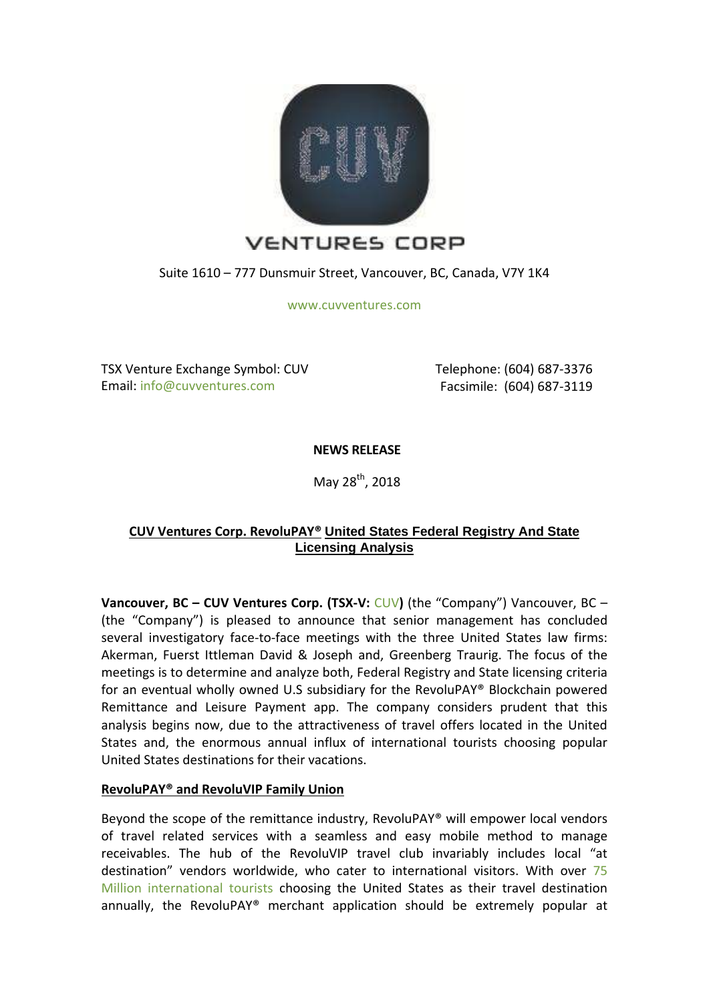

Suite 1610 – 777 Dunsmuir Street, Vancouver, BC, Canada, V7Y 1K4

[www.cuvventures.com](http://www.cuvventures.com/)

TSX Venture Exchange Symbol: CUV Email: [info@cuvventures.com](mailto:info@cuvventures.com)

 Telephone: (604) 687-3376 Facsimile: (604) 687-3119

**NEWS RELEASE**

May 28<sup>th</sup>, 2018

# **CUV Ventures Corp. RevoluPAY® United States Federal Registry And State Licensing Analysis**

**Vancouver, BC – CUV Ventures Corp. (TSX-V:** [CUV](http://web.tmxmoney.com/quote.php?qm_symbol=CUV)**)** (the "Company") Vancouver, BC – (the "Company") is pleased to announce that senior management has concluded several investigatory face-to-face meetings with the three United States law firms: Akerman, Fuerst Ittleman David & Joseph and, Greenberg Traurig. The focus of the meetings is to determine and analyze both, Federal Registry and State licensing criteria for an eventual wholly owned U.S subsidiary for the RevoluPAY® Blockchain powered Remittance and Leisure Payment app. The company considers prudent that this analysis begins now, due to the attractiveness of travel offers located in the United States and, the enormous annual influx of international tourists choosing popular United States destinations for their vacations.

## **RevoluPAY® and RevoluVIP Family Union**

Beyond the scope of the remittance industry, RevoluPAY® will empower local vendors of travel related services with a seamless and easy mobile method to manage receivables. The hub of the RevoluVIP travel club invariably includes local "at destination" vendors worldwide, who cater to international visitors. With over [75](https://en.wikipedia.org/wiki/World_Tourism_rankings)  [Million international tourists](https://en.wikipedia.org/wiki/World_Tourism_rankings) choosing the United States as their travel destination annually, the RevoluPAY® merchant application should be extremely popular at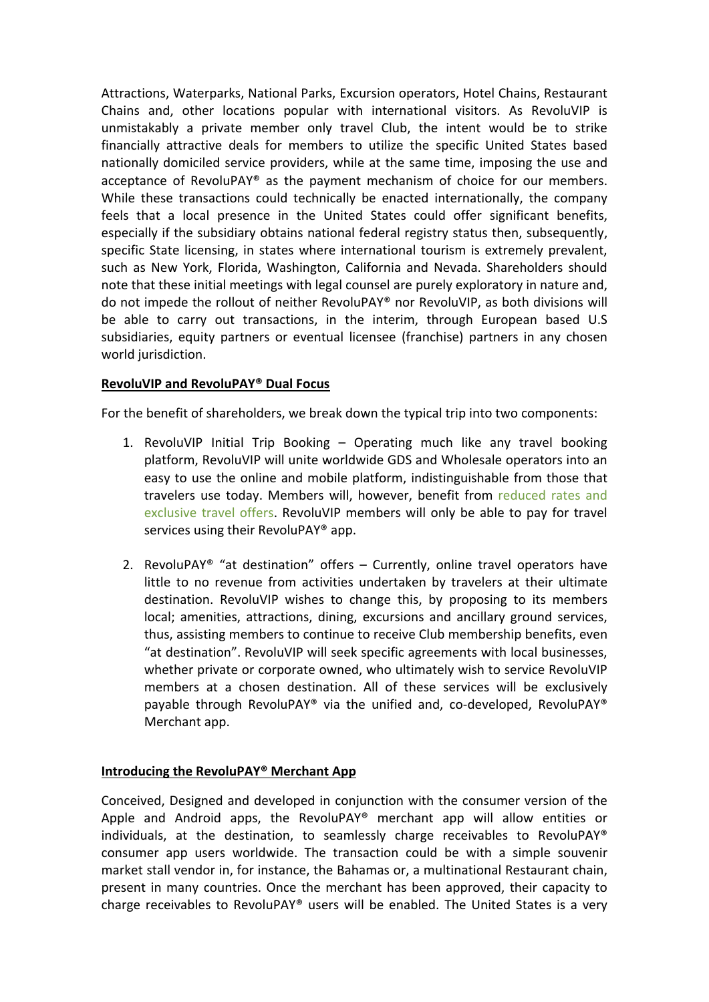Attractions, Waterparks, National Parks, Excursion operators, Hotel Chains, Restaurant Chains and, other locations popular with international visitors. As RevoluVIP is unmistakably a private member only travel Club, the intent would be to strike financially attractive deals for members to utilize the specific United States based nationally domiciled service providers, while at the same time, imposing the use and acceptance of RevoluPAY® as the payment mechanism of choice for our members. While these transactions could technically be enacted internationally, the company feels that a local presence in the United States could offer significant benefits, especially if the subsidiary obtains national federal registry status then, subsequently, specific State licensing, in states where international tourism is extremely prevalent, such as New York, Florida, Washington, California and Nevada. Shareholders should note that these initial meetings with legal counsel are purely exploratory in nature and, do not impede the rollout of neither RevoluPAY® nor RevoluVIP, as both divisions will be able to carry out transactions, in the interim, through European based U.S subsidiaries, equity partners or eventual licensee (franchise) partners in any chosen world jurisdiction.

## **RevoluVIP and RevoluPAY® Dual Focus**

For the benefit of shareholders, we break down the typical trip into two components:

- 1. RevoluVIP Initial Trip Booking Operating much like any travel booking platform, RevoluVIP will unite worldwide GDS and Wholesale operators into an easy to use the online and mobile platform, indistinguishable from those that travelers use today. Members will, however, benefit from [reduced rates and](https://www.cuvventures.com/travel/revoluvip)  [exclusive travel offers.](https://www.cuvventures.com/travel/revoluvip) RevoluVIP members will only be able to pay for travel services using their RevoluPAY® app.
- 2. RevoluPAY® "at destination" offers Currently, online travel operators have little to no revenue from activities undertaken by travelers at their ultimate destination. RevoluVIP wishes to change this, by proposing to its members local; amenities, attractions, dining, excursions and ancillary ground services, thus, assisting members to continue to receive Club membership benefits, even "at destination". RevoluVIP will seek specific agreements with local businesses, whether private or corporate owned, who ultimately wish to service RevoluVIP members at a chosen destination. All of these services will be exclusively payable through RevoluPAY® via the unified and, co-developed, RevoluPAY® Merchant app.

## **Introducing the RevoluPAY® Merchant App**

Conceived, Designed and developed in conjunction with the consumer version of the Apple and Android apps, the RevoluPAY® merchant app will allow entities or individuals, at the destination, to seamlessly charge receivables to RevoluPAY® consumer app users worldwide. The transaction could be with a simple souvenir market stall vendor in, for instance, the Bahamas or, a multinational Restaurant chain, present in many countries. Once the merchant has been approved, their capacity to charge receivables to RevoluPAY<sup>®</sup> users will be enabled. The United States is a very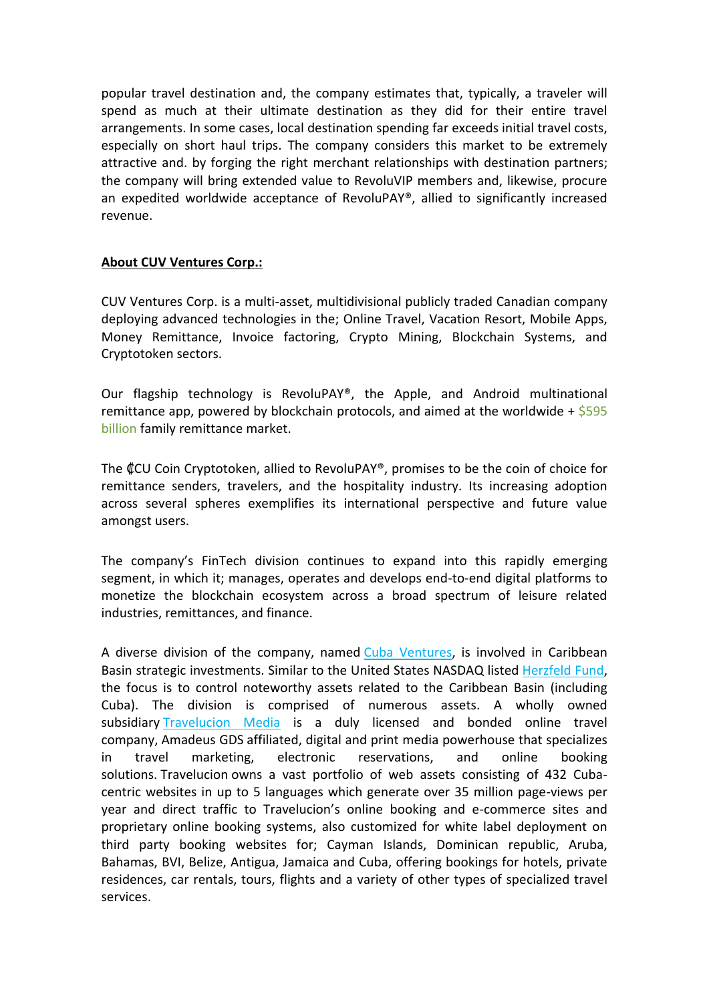popular travel destination and, the company estimates that, typically, a traveler will spend as much at their ultimate destination as they did for their entire travel arrangements. In some cases, local destination spending far exceeds initial travel costs, especially on short haul trips. The company considers this market to be extremely attractive and. by forging the right merchant relationships with destination partners; the company will bring extended value to RevoluVIP members and, likewise, procure an expedited worldwide acceptance of RevoluPAY®, allied to significantly increased revenue.

## **About CUV Ventures Corp.:**

CUV Ventures Corp. is a multi-asset, multidivisional publicly traded Canadian company deploying advanced technologies in the; Online Travel, Vacation Resort, Mobile Apps, Money Remittance, Invoice factoring, Crypto Mining, Blockchain Systems, and Cryptotoken sectors.

Our flagship technology is RevoluPAY®, the Apple, and Android multinational remittance app, powered by blockchain protocols, and aimed at the worldwide +  $$595$ [billion](http://www.worldbank.org/en/topic/migrationremittancesdiasporaissues/brief/migration-remittances-data) family remittance market.

The ₡CU Coin Cryptotoken, allied to RevoluPAY®, promises to be the coin of choice for remittance senders, travelers, and the hospitality industry. Its increasing adoption across several spheres exemplifies its international perspective and future value amongst users.

The company's FinTech division continues to expand into this rapidly emerging segment, in which it; manages, operates and develops end-to-end digital platforms to monetize the blockchain ecosystem across a broad spectrum of leisure related industries, remittances, and finance.

A diverse division of the company, named [Cuba Ventures,](http://www.cubaventures.com/) is involved in Caribbean Basin strategic investments. Similar to the United States NASDAQ listed [Herzfeld Fund,](https://www.herzfeld.com/cuba) the focus is to control noteworthy assets related to the Caribbean Basin (including Cuba). The division is comprised of numerous assets. A wholly owned subsidiary [Travelucion Media](http://www.travelucion.com/) is a duly licensed and bonded online travel company, [Amadeus GDS](http://www.amadeus.com/) affiliated, digital and print media powerhouse that specializes in travel marketing, electronic reservations, and online booking solutions. [Travelucion](http://www.travelucion.com/) owns a vast portfolio of web assets consisting of 432 Cubacentric websites in up to 5 languages which generate over 35 million page-views per year and direct traffic to Travelucion's online booking and e-commerce sites and proprietary online booking systems, also customized for white label deployment on third party booking websites for; Cayman Islands, Dominican republic, Aruba, Bahamas, BVI, Belize, Antigua, Jamaica and Cuba, offering bookings for hotels, private residences, car rentals, tours, flights and a variety of other types of specialized travel services.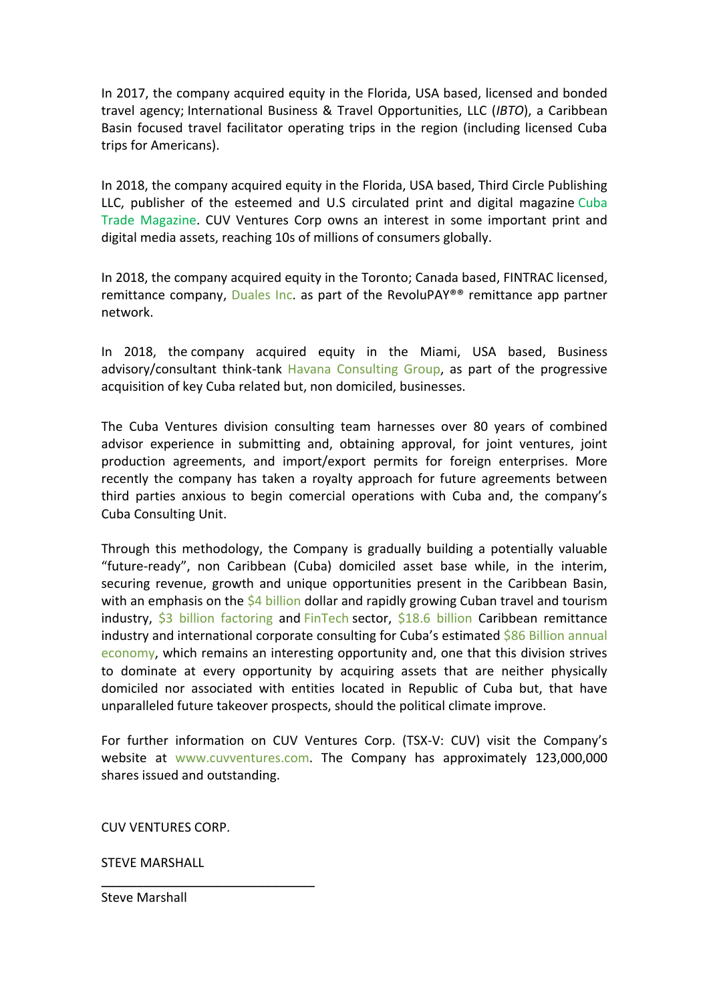In 2017, the company acquired equity in the Florida, USA based, licensed and bonded travel agency; International Business & Travel Opportunities, LLC (*IBTO*), a Caribbean Basin focused travel facilitator operating trips in the region (including licensed Cuba trips for Americans).

In 2018, the company acquired equity in the Florida, USA based, Third Circle Publishing LLC, publisher of the esteemed and U.S circulated print and digital magazine [Cuba](http://www.cubatrademagazine.com/)  [Trade Magazine.](http://www.cubatrademagazine.com/) CUV Ventures Corp owns an interest in some important print and digital media assets, reaching 10s of millions of consumers globally.

In 2018, the company acquired equity in the Toronto; Canada based, FINTRAC licensed, remittance company, [Duales Inc.](http://www.duales.com/) as part of the RevoluPAY®® remittance app partner network.

In 2018, the company acquired equity in the Miami, USA based, Business advisory/consultant think-tank [Havana Consulting Group,](http://www.thehavanaconsultinggroup.com/) as part of the progressive acquisition of key Cuba related but, non domiciled, businesses.

The Cuba Ventures division consulting team harnesses over 80 years of combined advisor experience in submitting and, obtaining approval, for joint ventures, joint production agreements, and import/export permits for foreign enterprises. More recently the company has taken a royalty approach for future agreements between third parties anxious to begin comercial operations with Cuba and, the company's Cuba Consulting Unit.

Through this methodology, the Company is gradually building a potentially valuable "future-ready", non Caribbean (Cuba) domiciled asset base while, in the interim, securing revenue, growth and unique opportunities present in the Caribbean Basin, with an emphasis on the [\\$4 billion](https://wits.worldbank.org/CountryProfile/en/CUB) dollar and rapidly growing Cuban travel and tourism industry, [\\$3 billion factoring](https://wits.worldbank.org/CountryProfile/en/CUB) and [FinTech](http://www.revolufin.com/) sector, [\\$18.6 billion](http://www.worldbank.org/en/topic/migrationremittancesdiasporaissues/brief/migration-remittances-data) Caribbean remittance industry and international corporate consulting for Cuba's estimated \$86 Billion annual [economy,](https://es.wikipedia.org/wiki/Economía_de_Cuba) which remains an interesting opportunity and, one that this division strives to dominate at every opportunity by acquiring assets that are neither physically domiciled nor associated with entities located in Republic of Cuba but, that have unparalleled future takeover prospects, should the political climate improve.

For further information on CUV Ventures Corp. (TSX-V: CUV) visit the Company's website at [www.cuvventures.com.](http://www.cuvventures.com/) The Company has approximately 123,000,000 shares issued and outstanding.

CUV VENTURES CORP.

 $\frac{1}{2}$  , and the set of the set of the set of the set of the set of the set of the set of the set of the set of the set of the set of the set of the set of the set of the set of the set of the set of the set of the set

STEVE MARSHALL

Steve Marshall